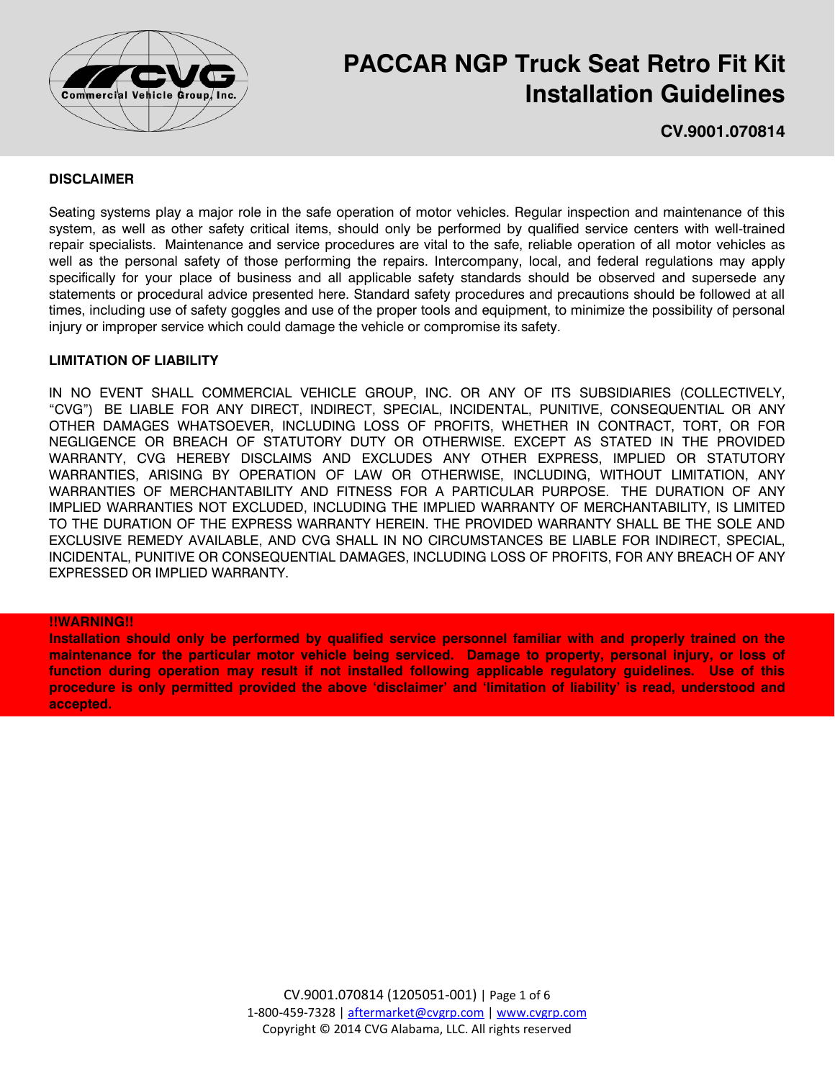

# **PACCAR NGP Truck Seat Retro Fit Kit Installation Guidelines**

**CV.9001.070814**

## **DISCLAIMER**

Seating systems play a major role in the safe operation of motor vehicles. Regular inspection and maintenance of this system, as well as other safety critical items, should only be performed by qualified service centers with well-trained repair specialists. Maintenance and service procedures are vital to the safe, reliable operation of all motor vehicles as well as the personal safety of those performing the repairs. Intercompany, local, and federal regulations may apply specifically for your place of business and all applicable safety standards should be observed and supersede any statements or procedural advice presented here. Standard safety procedures and precautions should be followed at all times, including use of safety goggles and use of the proper tools and equipment, to minimize the possibility of personal injury or improper service which could damage the vehicle or compromise its safety.

## **LIMITATION OF LIABILITY**

IN NO EVENT SHALL COMMERCIAL VEHICLE GROUP, INC. OR ANY OF ITS SUBSIDIARIES (COLLECTIVELY, "CVG") BE LIABLE FOR ANY DIRECT, INDIRECT, SPECIAL, INCIDENTAL, PUNITIVE, CONSEQUENTIAL OR ANY OTHER DAMAGES WHATSOEVER, INCLUDING LOSS OF PROFITS, WHETHER IN CONTRACT, TORT, OR FOR NEGLIGENCE OR BREACH OF STATUTORY DUTY OR OTHERWISE. EXCEPT AS STATED IN THE PROVIDED WARRANTY, CVG HEREBY DISCLAIMS AND EXCLUDES ANY OTHER EXPRESS, IMPLIED OR STATUTORY WARRANTIES, ARISING BY OPERATION OF LAW OR OTHERWISE, INCLUDING, WITHOUT LIMITATION, ANY WARRANTIES OF MERCHANTABILITY AND FITNESS FOR A PARTICULAR PURPOSE. THE DURATION OF ANY IMPLIED WARRANTIES NOT EXCLUDED, INCLUDING THE IMPLIED WARRANTY OF MERCHANTABILITY, IS LIMITED TO THE DURATION OF THE EXPRESS WARRANTY HEREIN. THE PROVIDED WARRANTY SHALL BE THE SOLE AND EXCLUSIVE REMEDY AVAILABLE, AND CVG SHALL IN NO CIRCUMSTANCES BE LIABLE FOR INDIRECT, SPECIAL, INCIDENTAL, PUNITIVE OR CONSEQUENTIAL DAMAGES, INCLUDING LOSS OF PROFITS, FOR ANY BREACH OF ANY EXPRESSED OR IMPLIED WARRANTY.

#### **!!WARNING!!**

**Installation should only be performed by qualified service personnel familiar with and properly trained on the maintenance for the particular motor vehicle being serviced. Damage to property, personal injury, or loss of function during operation may result if not installed following applicable regulatory guidelines. Use of this procedure is only permitted provided the above 'disclaimer' and 'limitation of liability' is read, understood and accepted.**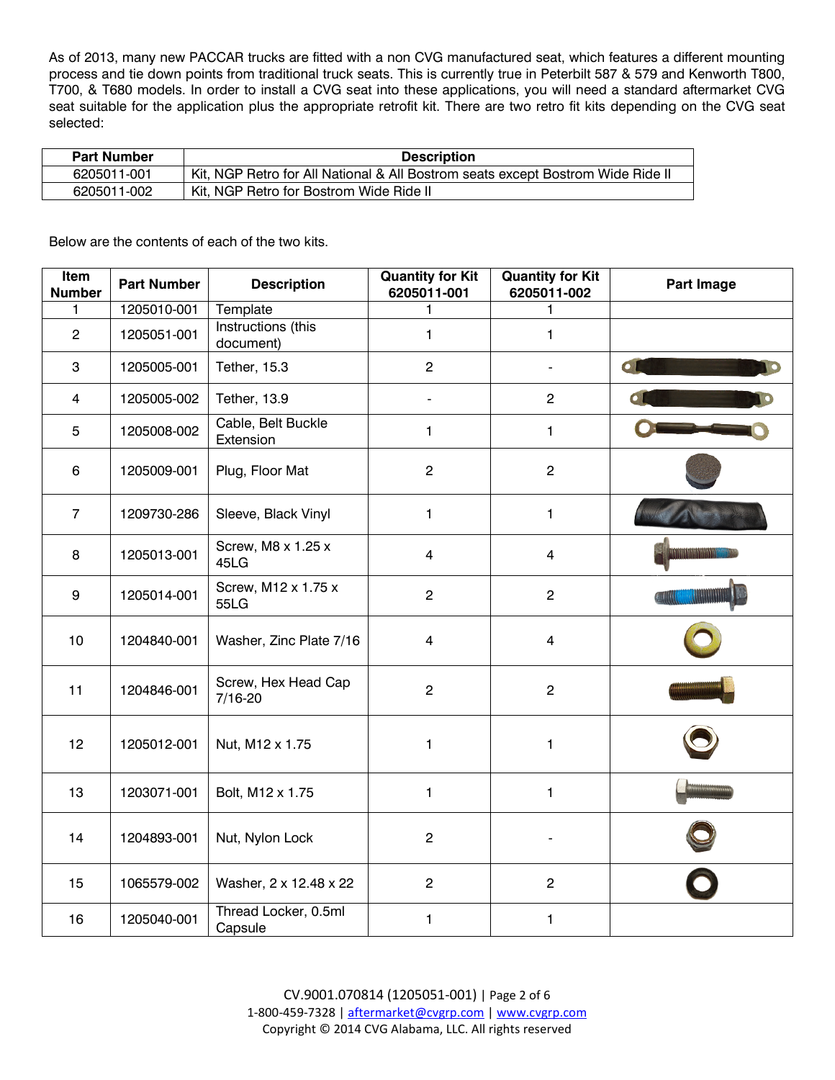As of 2013, many new PACCAR trucks are fitted with a non CVG manufactured seat, which features a different mounting process and tie down points from traditional truck seats. This is currently true in Peterbilt 587 & 579 and Kenworth T800, T700, & T680 models. In order to install a CVG seat into these applications, you will need a standard aftermarket CVG seat suitable for the application plus the appropriate retrofit kit. There are two retro fit kits depending on the CVG seat selected:

| <b>Part Number</b> | <b>Description</b>                                                              |  |  |  |
|--------------------|---------------------------------------------------------------------------------|--|--|--|
| 6205011-001        | Kit, NGP Retro for All National & All Bostrom seats except Bostrom Wide Ride II |  |  |  |
| 6205011-002        | Kit. NGP Retro for Bostrom Wide Ride II                                         |  |  |  |

Below are the contents of each of the two kits.

| Item<br><b>Number</b> | <b>Part Number</b> | <b>Description</b>                 | <b>Quantity for Kit</b><br>6205011-001 | <b>Quantity for Kit</b><br>6205011-002 | Part Image |
|-----------------------|--------------------|------------------------------------|----------------------------------------|----------------------------------------|------------|
| 1                     | 1205010-001        | Template                           | 1                                      | 1                                      |            |
| $\overline{2}$        | 1205051-001        | Instructions (this<br>document)    | 1                                      | 1                                      |            |
| $\mathbf 3$           | 1205005-001        | Tether, 15.3                       | $\overline{2}$                         |                                        | $\bullet$  |
| $\overline{4}$        | 1205005-002        | Tether, 13.9                       | $\blacksquare$                         | $\overline{2}$                         |            |
| $\overline{5}$        | 1205008-002        | Cable, Belt Buckle<br>Extension    | $\mathbf{1}$                           | $\mathbf{1}$                           |            |
| 6                     | 1205009-001        | Plug, Floor Mat                    | $\overline{c}$                         | $\overline{c}$                         |            |
| $\overline{7}$        | 1209730-286        | Sleeve, Black Vinyl                | 1                                      | 1                                      |            |
| 8                     | 1205013-001        | Screw, M8 x 1.25 x<br>45LG         | $\overline{4}$                         | $\overline{4}$                         |            |
| 9                     | 1205014-001        | Screw, M12 x 1.75 x<br>55LG        | $\overline{2}$                         | $\overline{2}$                         |            |
| 10                    | 1204840-001        | Washer, Zinc Plate 7/16            | 4                                      | 4                                      |            |
| 11                    | 1204846-001        | Screw, Hex Head Cap<br>$7/16 - 20$ | $\overline{2}$                         | $\overline{2}$                         |            |
| 12                    | 1205012-001        | Nut, M12 x 1.75                    | 1                                      | 1                                      |            |
| 13                    | 1203071-001        | Bolt, M12 x 1.75                   | 1.                                     | 1                                      |            |
| 14                    | 1204893-001        | Nut, Nylon Lock                    | $\overline{2}$                         |                                        |            |
| 15                    | 1065579-002        | Washer, 2 x 12.48 x 22             | $\overline{2}$                         | $\overline{2}$                         |            |
| 16                    | 1205040-001        | Thread Locker, 0.5ml<br>Capsule    | $\mathbf{1}$                           | $\mathbf{1}$                           |            |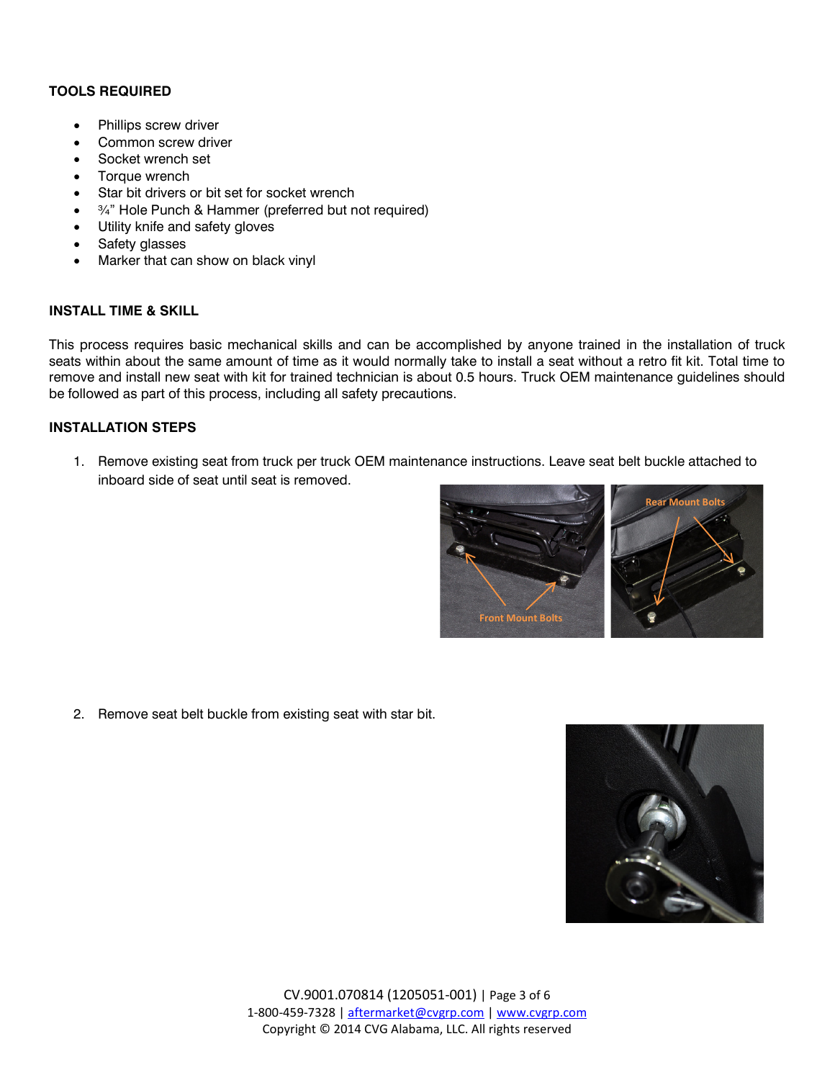# **TOOLS REQUIRED**

- Phillips screw driver
- Common screw driver
- Socket wrench set
- Torque wrench
- Star bit drivers or bit set for socket wrench
- ¾" Hole Punch & Hammer (preferred but not required)
- Utility knife and safety gloves
- Safety glasses
- Marker that can show on black vinyl

## **INSTALL TIME & SKILL**

This process requires basic mechanical skills and can be accomplished by anyone trained in the installation of truck seats within about the same amount of time as it would normally take to install a seat without a retro fit kit. Total time to remove and install new seat with kit for trained technician is about 0.5 hours. Truck OEM maintenance guidelines should be followed as part of this process, including all safety precautions.

## **INSTALLATION STEPS**

1. Remove existing seat from truck per truck OEM maintenance instructions. Leave seat belt buckle attached to inboard side of seat until seat is removed.



2. Remove seat belt buckle from existing seat with star bit.

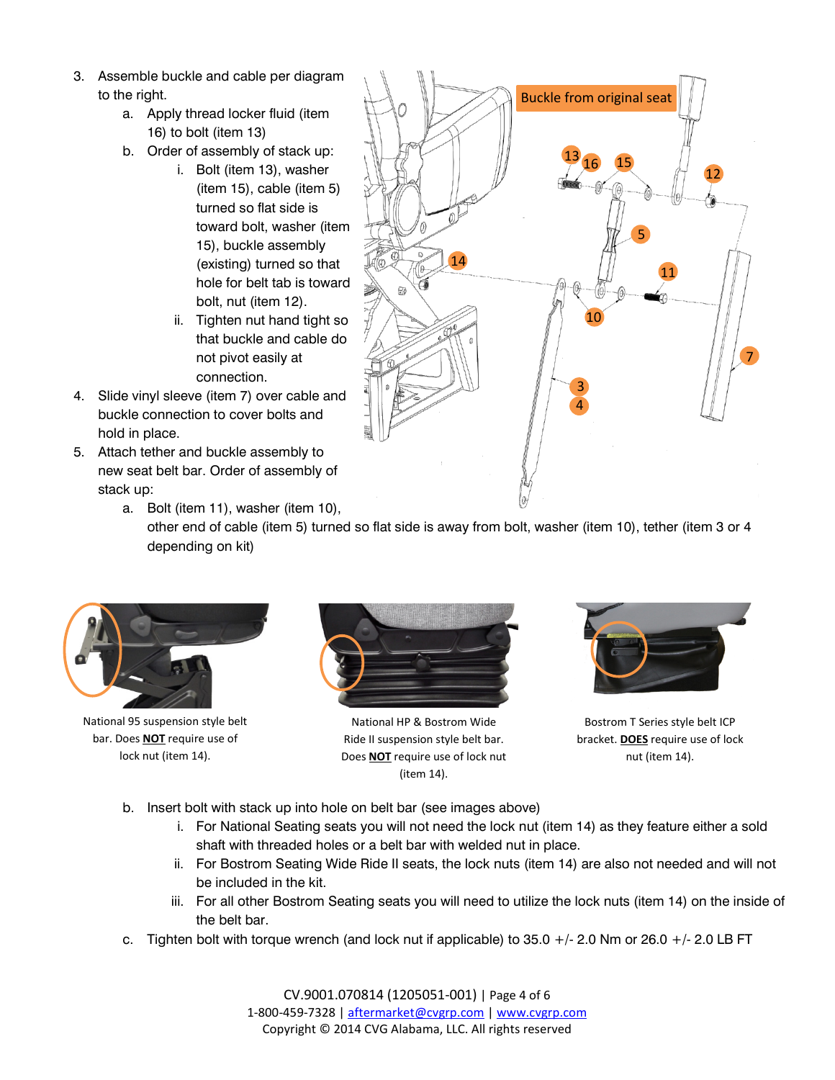- 3. Assemble buckle and cable per diagram to the right.
	- a. Apply thread locker fluid (item 16) to bolt (item 13)
	- b. Order of assembly of stack up:
		- i. Bolt (item 13), washer (item 15), cable (item 5) turned so flat side is toward bolt, washer (item 15), buckle assembly (existing) turned so that hole for belt tab is toward bolt, nut (item 12).
		- ii. Tighten nut hand tight so that buckle and cable do not pivot easily at connection.
- 4. Slide vinyl sleeve (item 7) over cable and buckle connection to cover bolts and hold in place.
- 5. Attach tether and buckle assembly to new seat belt bar. Order of assembly of stack up:



a. Bolt (item 11), washer (item 10), other end of cable (item 5) turned so flat side is away from bolt, washer (item 10), tether (item 3 or 4 depending on kit)



National 95 suspension style belt bar. Does **NOT** require use of lock nut (item 14).



National HP & Bostrom Wide Ride II suspension style belt bar. Does **NOT** require use of lock nut (item 14).



Bostrom T Series style belt ICP bracket. **DOES** require use of lock nut (item 14).

- b. Insert bolt with stack up into hole on belt bar (see images above)
	- i. For National Seating seats you will not need the lock nut (item 14) as they feature either a sold shaft with threaded holes or a belt bar with welded nut in place.
	- ii. For Bostrom Seating Wide Ride II seats, the lock nuts (item 14) are also not needed and will not be included in the kit.
	- iii. For all other Bostrom Seating seats you will need to utilize the lock nuts (item 14) on the inside of the belt bar.
- c. Tighten bolt with torque wrench (and lock nut if applicable) to  $35.0 +/- 2.0$  Nm or  $26.0 +/- 2.0$  LB FT

CV.9001.070814 (1205051-001) | Page 4 of 6 1-800-459-7328 | [aftermarket@cvgrp.com](mailto:aftermarket@cvgrp.com) [| www.cvgrp.com](http://www.cvgrp.com/) Copyright © 2014 CVG Alabama, LLC. All rights reserved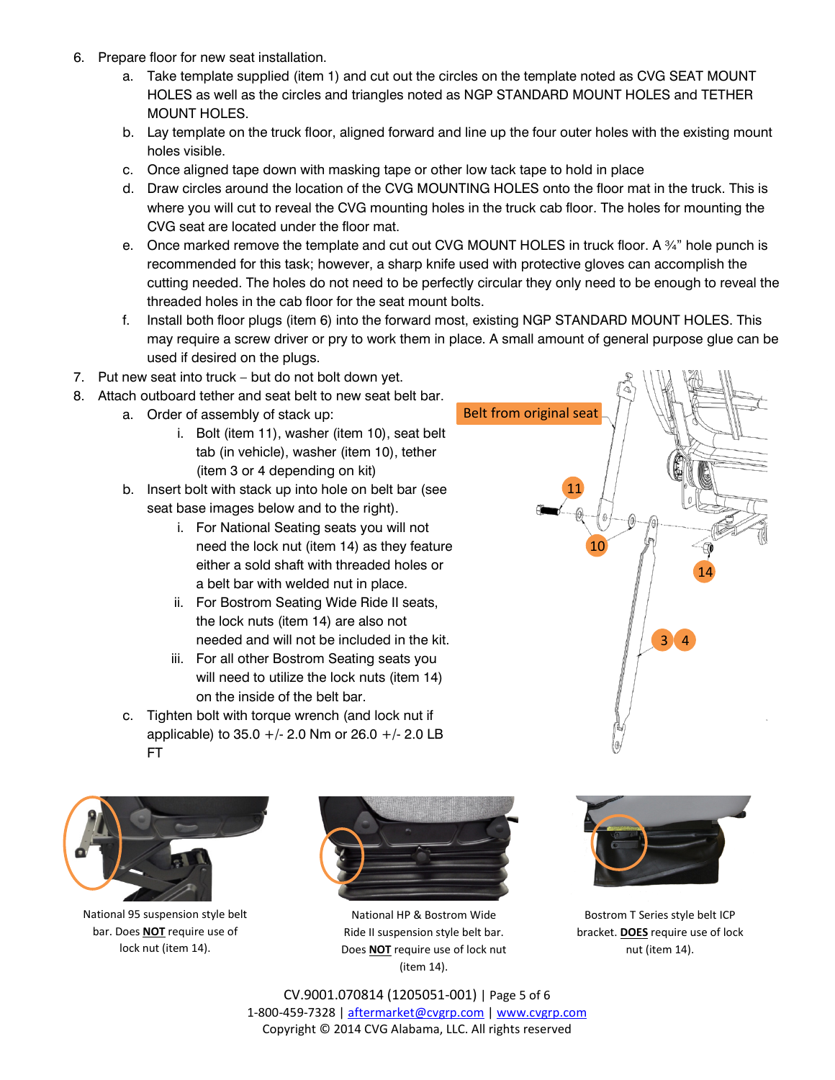- 6. Prepare floor for new seat installation.
	- a. Take template supplied (item 1) and cut out the circles on the template noted as CVG SEAT MOUNT HOLES as well as the circles and triangles noted as NGP STANDARD MOUNT HOLES and TETHER MOUNT HOLES.
	- b. Lay template on the truck floor, aligned forward and line up the four outer holes with the existing mount holes visible.
	- c. Once aligned tape down with masking tape or other low tack tape to hold in place
	- d. Draw circles around the location of the CVG MOUNTING HOLES onto the floor mat in the truck. This is where you will cut to reveal the CVG mounting holes in the truck cab floor. The holes for mounting the CVG seat are located under the floor mat.
	- e. Once marked remove the template and cut out CVG MOUNT HOLES in truck floor. A  $\frac{3}{4}$ " hole punch is recommended for this task; however, a sharp knife used with protective gloves can accomplish the cutting needed. The holes do not need to be perfectly circular they only need to be enough to reveal the threaded holes in the cab floor for the seat mount bolts.
	- f. Install both floor plugs (item 6) into the forward most, existing NGP STANDARD MOUNT HOLES. This may require a screw driver or pry to work them in place. A small amount of general purpose glue can be used if desired on the plugs.

Belt from original seat

11

10

- 7. Put new seat into truck but do not bolt down yet.
- 8. Attach outboard tether and seat belt to new seat belt bar.
	- a. Order of assembly of stack up:
		- i. Bolt (item 11), washer (item 10), seat belt tab (in vehicle), washer (item 10), tether (item 3 or 4 depending on kit)
	- b. Insert bolt with stack up into hole on belt bar (see seat base images below and to the right).
		- i. For National Seating seats you will not need the lock nut (item 14) as they feature either a sold shaft with threaded holes or a belt bar with welded nut in place.
		- ii. For Bostrom Seating Wide Ride II seats, the lock nuts (item 14) are also not needed and will not be included in the kit.
		- iii. For all other Bostrom Seating seats you will need to utilize the lock nuts (item 14) on the inside of the belt bar.
	- c. Tighten bolt with torque wrench (and lock nut if applicable) to  $35.0 +/- 2.0$  Nm or  $26.0 +/- 2.0$  LB FT



National 95 suspension style belt bar. Does **NOT** require use of lock nut (item 14).



National HP & Bostrom Wide Ride II suspension style belt bar. Does **NOT** require use of lock nut (item 14).



 $\overline{3}$ 

14

Bostrom T Series style belt ICP bracket. **DOES** require use of lock nut (item 14).

CV.9001.070814 (1205051-001) | Page 5 of 6 1-800-459-7328 | [aftermarket@cvgrp.com](mailto:aftermarket@cvgrp.com) [| www.cvgrp.com](http://www.cvgrp.com/) Copyright © 2014 CVG Alabama, LLC. All rights reserved